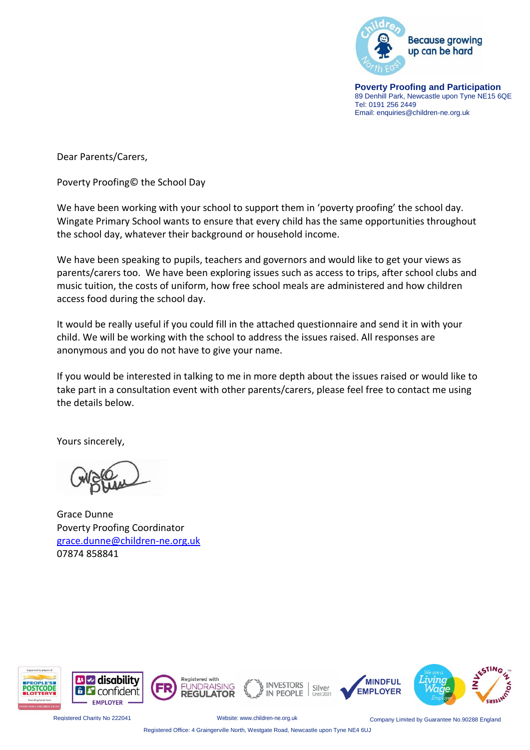

**Poverty Proofing and Participation** 89 Denhill Park, Newcastle upon Tyne NE15 6QE Tel: 0191 256 2449 Email: enquiries@children-ne.org.uk

Dear Parents/Carers,

Poverty Proofing© the School Day

We have been working with your school to support them in 'poverty proofing' the school day. Wingate Primary School wants to ensure that every child has the same opportunities throughout the school day, whatever their background or household income.

We have been speaking to pupils, teachers and governors and would like to get your views as parents/carers too. We have been exploring issues such as access to trips, after school clubs and music tuition, the costs of uniform, how free school meals are administered and how children access food during the school day.

It would be really useful if you could fill in the attached questionnaire and send it in with your child. We will be working with the school to address the issues raised. All responses are anonymous and you do not have to give your name.

If you would be interested in talking to me in more depth about the issues raised or would like to take part in a consultation event with other parents/carers, please feel free to contact me using the details below.

Yours sincerely,

Grace Dunne Poverty Proofing Coordinator [grace.dunne@children-ne.org.uk](mailto:grace.dunne@children-ne.org.uk) 07874 858841



Registered Charity No 222041 Website: www.children-ne.org.uk Company Limited by Guarantee No.90288 England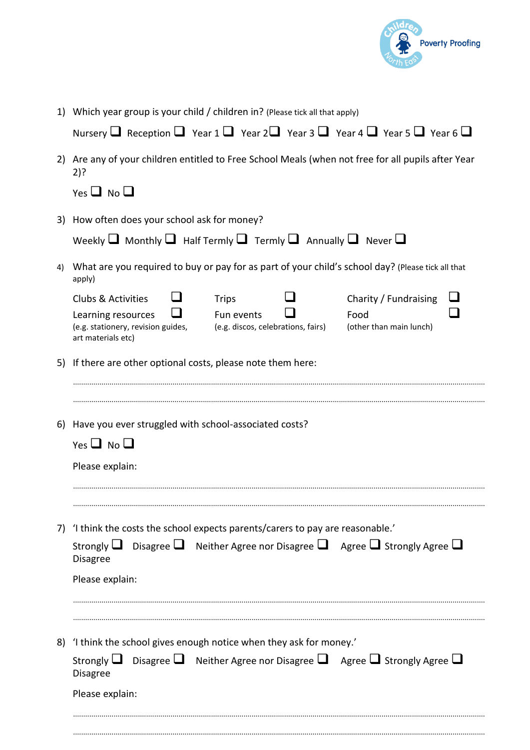

1) Which year group is your child / children in? (Please tick all that apply)

| Nursery $\Box$ Reception $\Box$ Year 1 $\Box$ Year 2 $\Box$ Year 3 $\Box$ Year 4 $\Box$ Year 5 $\Box$ Year 6 $\Box$ |  |  |  |  |  |
|---------------------------------------------------------------------------------------------------------------------|--|--|--|--|--|
|---------------------------------------------------------------------------------------------------------------------|--|--|--|--|--|

2) Are any of your children entitled to Free School Meals (when not free for all pupils after Year 2)?

 $Yes \square No \square$ 

3) How often does your school ask for money?

| Weekly $\Box$ Monthly $\Box$ Half Termly $\Box$ Termly $\Box$ Annually $\Box$ Never $\Box$ |  |  |  |  |
|--------------------------------------------------------------------------------------------|--|--|--|--|
|--------------------------------------------------------------------------------------------|--|--|--|--|

4) What are you required to buy or pay for as part of your child's school day? (Please tick all that apply)

|    | <b>Clubs &amp; Activities</b>                                                                                           | <b>Trips</b>                                                                    |  | Charity / Fundraising                                                                |  |  |
|----|-------------------------------------------------------------------------------------------------------------------------|---------------------------------------------------------------------------------|--|--------------------------------------------------------------------------------------|--|--|
|    | Learning resources<br>(e.g. stationery, revision guides,<br>art materials etc)                                          | Fun events<br>(e.g. discos, celebrations, fairs)                                |  | Food<br>(other than main lunch)                                                      |  |  |
|    | 5) If there are other optional costs, please note them here:                                                            |                                                                                 |  |                                                                                      |  |  |
| 6) | Have you ever struggled with school-associated costs?<br>Yes $\Box$ No $\Box$                                           |                                                                                 |  |                                                                                      |  |  |
|    | Please explain:                                                                                                         |                                                                                 |  |                                                                                      |  |  |
|    |                                                                                                                         |                                                                                 |  |                                                                                      |  |  |
|    |                                                                                                                         | 7) 'I think the costs the school expects parents/carers to pay are reasonable.' |  |                                                                                      |  |  |
|    | Strongly $\Box$ Disagree $\Box$ Neither Agree nor Disagree $\Box$ Agree $\Box$ Strongly Agree $\Box$<br><b>Disagree</b> |                                                                                 |  |                                                                                      |  |  |
|    | Please explain:                                                                                                         |                                                                                 |  |                                                                                      |  |  |
|    |                                                                                                                         |                                                                                 |  |                                                                                      |  |  |
|    | 8) 'I think the school gives enough notice when they ask for money.'                                                    |                                                                                 |  |                                                                                      |  |  |
|    | Strongly $\Box$<br><b>Disagree</b>                                                                                      |                                                                                 |  | Disagree $\Box$ Neither Agree nor Disagree $\Box$ Agree $\Box$ Strongly Agree $\Box$ |  |  |

...........................................................................................................................................................................................................

...........................................................................................................................................................................................................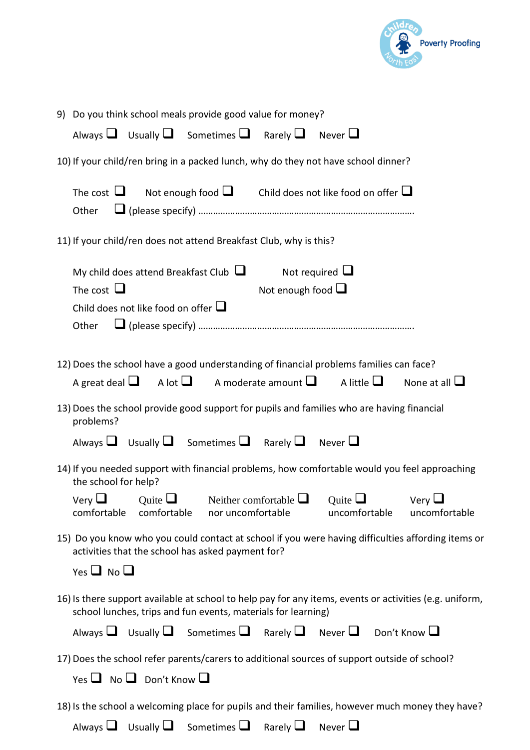

| 9) Do you think school meals provide good value for money?                                                                                                                                |
|-------------------------------------------------------------------------------------------------------------------------------------------------------------------------------------------|
| Always $\Box$ Usually $\Box$ Sometimes $\Box$ Rarely $\Box$ Never $\Box$                                                                                                                  |
| 10) If your child/ren bring in a packed lunch, why do they not have school dinner?                                                                                                        |
| The cost $\Box$ Not enough food $\Box$ Child does not like food on offer $\Box$<br>Other                                                                                                  |
| 11) If your child/ren does not attend Breakfast Club, why is this?                                                                                                                        |
| Not required $\Box$<br>My child does attend Breakfast Club $\Box$<br>The cost $\Box$<br>Not enough food $\Box$<br>Child does not like food on offer $\Box$<br>Other                       |
| 12) Does the school have a good understanding of financial problems families can face?<br>A great deal $\Box$ A lot $\Box$ A moderate amount $\Box$ A little $\Box$<br>None at all $\Box$ |
| 13) Does the school provide good support for pupils and families who are having financial<br>problems?<br>Always $\Box$ Usually $\Box$ Sometimes $\Box$ Rarely $\Box$ Never $\Box$        |
| 14) If you needed support with financial problems, how comfortable would you feel approaching<br>the school for help?                                                                     |
| Very $\Box$<br>Neither comfortable $\Box$<br>Quite $\Box$<br>Ouite $\Box$<br>$V$ ery $\Box$<br>comfortable comfortable nor uncomfortable<br>uncomfortable<br>uncomfortable                |
| 15) Do you know who you could contact at school if you were having difficulties affording items or<br>activities that the school has asked payment for?<br>Yes $\Box$ No $\Box$           |
| 16) Is there support available at school to help pay for any items, events or activities (e.g. uniform,<br>school lunches, trips and fun events, materials for learning)                  |
| Always $\Box$ Usually $\Box$ Sometimes $\Box$ Rarely $\Box$ Never $\Box$ Don't Know $\Box$                                                                                                |
| 17) Does the school refer parents/carers to additional sources of support outside of school?<br>Yes $\Box$ No $\Box$ Don't Know $\Box$                                                    |
| 18) Is the school a welcoming place for pupils and their families, however much money they have?                                                                                          |
| Always $\Box$ Usually $\Box$ Sometimes $\Box$ Rarely $\Box$<br>Never $\Box$                                                                                                               |